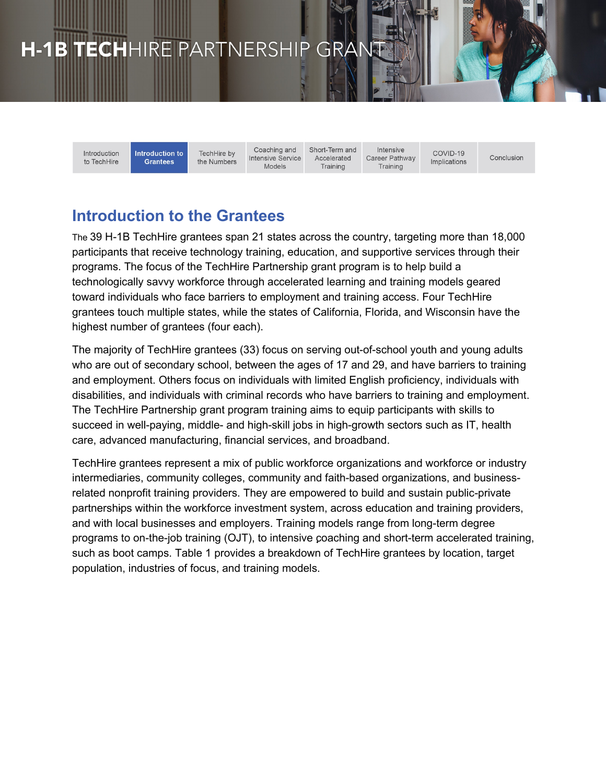# H-1B TECHHIRE PARTNERSHIP GRAN

Introduction to TechHire **Introduction to** TechHire by **Grantees** the Numbers

Coaching and Intensive Service Models

Short-Term and Accelerated Training

Intensive Career Pathway Training

 $COMID-19$ Implications

Conclusion

# **Introduction to the Grantees**

The 39 H-1B TechHire grantees span 21 states across the country, targeting more than 18,000 participants that receive technology training, education, and supportive services through their programs. The focus of the TechHire Partnership grant program is to help build a technologically savvy workforce through accelerated learning and training models geared toward individuals who face barriers to employment and training access. Four TechHire grantees touch multiple states, while the states of California, Florida, and Wisconsin have the highest number of grantees (four each).

The majority of TechHire grantees (33) focus on serving out-of-school youth and young adults who are out of secondary school, between the ages of 17 and 29, and have barriers to training and employment. Others focus on individuals with limited English proficiency, individuals with disabilities, and individuals with criminal records who have barriers to training and employment. The TechHire Partnership grant program training aims to equip participants with skills to succeed in well-paying, middle- and high-skill jobs in high-growth sectors such as IT, health care, advanced manufacturing, financial services, and broadband.

TechHire grantees represent a mix of public workforce organizations and workforce or industry intermediaries, community colleges, community and faith-based organizations, and businessrelated nonprofit training providers. They are empowered to build and sustain public-private partnerships within the workforce investment system, across education and training providers, and with local businesses and employers. Training models range from long-term degree programs to on-the-job training (OJT), to intensive coaching and short-term accelerated training, such as boot camps. Table 1 provides a breakdown of TechHire grantees by location, target population, industries of focus, and training models.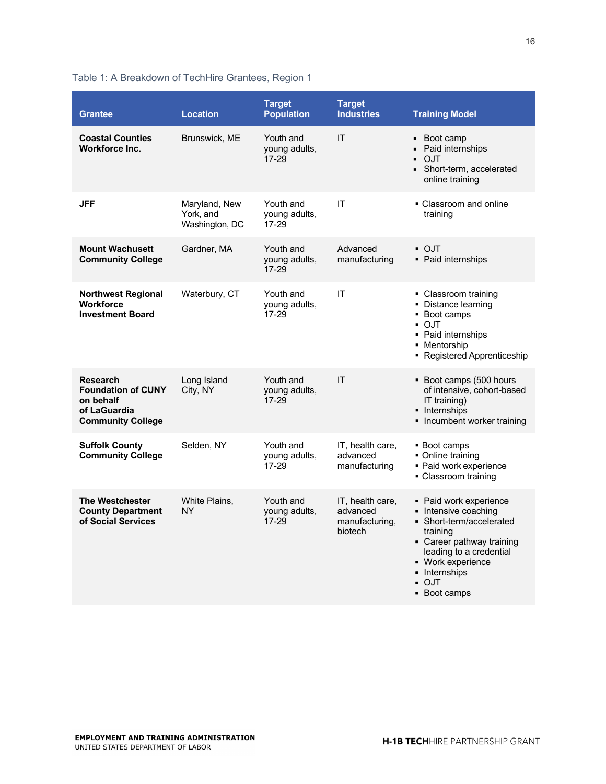## Table 1: A Breakdown of TechHire Grantees, Region 1

| <b>Grantee</b>                                                                                        | <b>Location</b>                              | <b>Target</b><br><b>Population</b>      | <b>Target</b><br><b>Industries</b>                        | <b>Training Model</b>                                                                                                                                                                               |
|-------------------------------------------------------------------------------------------------------|----------------------------------------------|-----------------------------------------|-----------------------------------------------------------|-----------------------------------------------------------------------------------------------------------------------------------------------------------------------------------------------------|
| <b>Coastal Counties</b><br><b>Workforce Inc.</b>                                                      | Brunswick, ME                                | Youth and<br>young adults.<br>$17 - 29$ | IT                                                        | Boot camp<br>$\blacksquare$<br>Paid internships<br>×,<br><b>OJT</b><br>. .<br>Short-term, accelerated<br>online training                                                                            |
| <b>JFF</b>                                                                                            | Maryland, New<br>York, and<br>Washington, DC | Youth and<br>young adults,<br>17-29     | IT                                                        | • Classroom and online<br>training                                                                                                                                                                  |
| <b>Mount Wachusett</b><br><b>Community College</b>                                                    | Gardner, MA                                  | Youth and<br>young adults,<br>$17 - 29$ | Advanced<br>manufacturing                                 | • OJT<br>• Paid internships                                                                                                                                                                         |
| <b>Northwest Regional</b><br><b>Workforce</b><br><b>Investment Board</b>                              | Waterbury, CT                                | Youth and<br>young adults,<br>17-29     | IT                                                        | • Classroom training<br>• Distance learning<br>• Boot camps<br>• OJT<br>• Paid internships<br>• Mentorship<br>• Registered Apprenticeship                                                           |
| <b>Research</b><br><b>Foundation of CUNY</b><br>on behalf<br>of LaGuardia<br><b>Community College</b> | Long Island<br>City, NY                      | Youth and<br>young adults,<br>$17 - 29$ | IT                                                        | • Boot camps (500 hours<br>of intensive, cohort-based<br>IT training)<br>• Internships<br>• Incumbent worker training                                                                               |
| <b>Suffolk County</b><br><b>Community College</b>                                                     | Selden, NY                                   | Youth and<br>young adults,<br>17-29     | IT, health care,<br>advanced<br>manufacturing             | ■ Boot camps<br>• Online training<br>· Paid work experience<br>• Classroom training                                                                                                                 |
| <b>The Westchester</b><br><b>County Department</b><br>of Social Services                              | White Plains,<br><b>NY</b>                   | Youth and<br>young adults,<br>$17 - 29$ | IT, health care,<br>advanced<br>manufacturing,<br>biotech | Paid work experience<br>Intensive coaching<br>Short-term/accelerated<br>training<br>Career pathway training<br>leading to a credential<br>- Work experience<br>lnternships<br>■ OJT<br>■ Boot camps |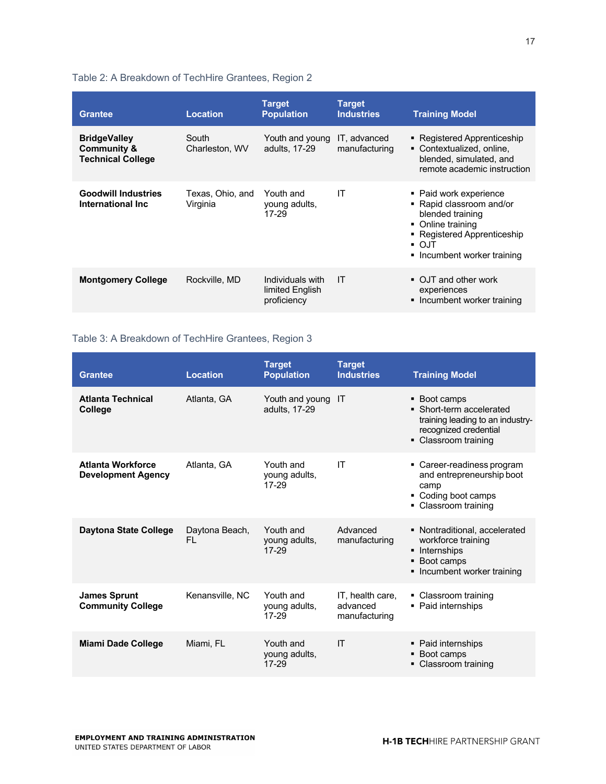#### Table 2: A Breakdown of TechHire Grantees, Region 2

| <b>Grantee</b>                                                            | <b>Location</b>              | <b>Target</b><br><b>Population</b>                 | <b>Target</b><br><b>Industries</b> | <b>Training Model</b>                                                                                                                                                                     |
|---------------------------------------------------------------------------|------------------------------|----------------------------------------------------|------------------------------------|-------------------------------------------------------------------------------------------------------------------------------------------------------------------------------------------|
| <b>BridgeValley</b><br><b>Community &amp;</b><br><b>Technical College</b> | South<br>Charleston, WV      | Youth and young<br>adults, 17-29                   | IT, advanced<br>manufacturing      | • Registered Apprenticeship<br>• Contextualized, online.<br>blended, simulated, and<br>remote academic instruction                                                                        |
| <b>Goodwill Industries</b><br>International Inc                           | Texas, Ohio, and<br>Virginia | Youth and<br>young adults,<br>17-29                | IT                                 | • Paid work experience<br>• Rapid classroom and/or<br>blended training<br>• Online training<br>• Registered Apprenticeship<br>$\overline{\phantom{a}}$ OJT<br>• Incumbent worker training |
| <b>Montgomery College</b>                                                 | Rockville, MD                | Individuals with<br>limited English<br>proficiency | IT                                 | • OJT and other work<br>experiences<br>• Incumbent worker training                                                                                                                        |

#### Table 3: A Breakdown of TechHire Grantees, Region 3

| <b>Grantee</b>                                        | <b>Location</b>      | <b>Target</b><br><b>Population</b>  | <b>Target</b><br><b>Industries</b>            | <b>Training Model</b>                                                                                                         |
|-------------------------------------------------------|----------------------|-------------------------------------|-----------------------------------------------|-------------------------------------------------------------------------------------------------------------------------------|
| <b>Atlanta Technical</b><br><b>College</b>            | Atlanta, GA          | Youth and young<br>adults, 17-29    | -IT                                           | • Boot camps<br>• Short-term accelerated<br>training leading to an industry-<br>recognized credential<br>• Classroom training |
| <b>Atlanta Workforce</b><br><b>Development Agency</b> | Atlanta, GA          | Youth and<br>young adults,<br>17-29 | IT                                            | • Career-readiness program<br>and entrepreneurship boot<br>camp<br>• Coding boot camps<br>• Classroom training                |
| <b>Daytona State College</b>                          | Daytona Beach,<br>FL | Youth and<br>young adults,<br>17-29 | Advanced<br>manufacturing                     | • Nontraditional, accelerated<br>workforce training<br>• Internships<br>• Boot camps<br>• Incumbent worker training           |
| <b>James Sprunt</b><br><b>Community College</b>       | Kenansville, NC      | Youth and<br>young adults,<br>17-29 | IT. health care.<br>advanced<br>manufacturing | • Classroom training<br>• Paid internships                                                                                    |
| <b>Miami Dade College</b>                             | Miami. FL            | Youth and<br>young adults,<br>17-29 | $\mathsf{I}$                                  | • Paid internships<br>• Boot camps<br>• Classroom training                                                                    |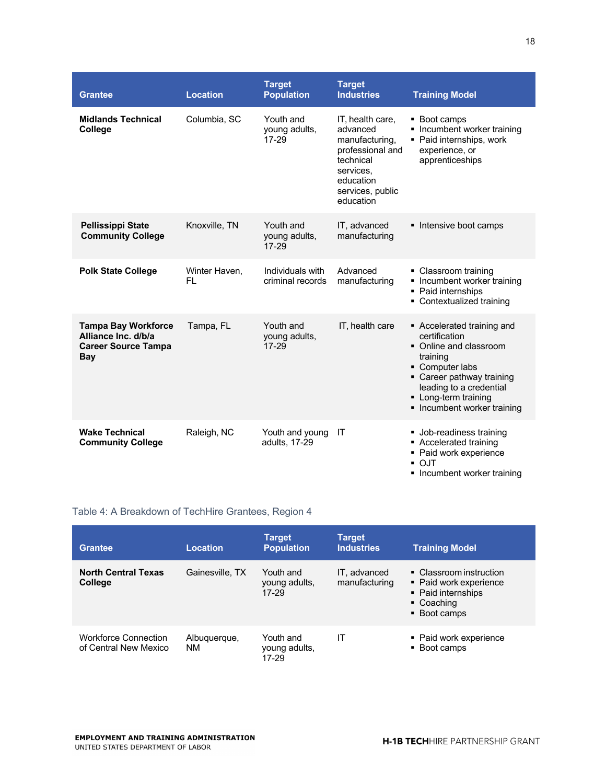| <b>Grantee</b>                                                                         | <b>Location</b>      | <b>Target</b><br><b>Population</b>      | <b>Target</b><br><b>Industries</b>                                                                                                         | <b>Training Model</b>                                                                                                                                                                                             |
|----------------------------------------------------------------------------------------|----------------------|-----------------------------------------|--------------------------------------------------------------------------------------------------------------------------------------------|-------------------------------------------------------------------------------------------------------------------------------------------------------------------------------------------------------------------|
| <b>Midlands Technical</b><br>College                                                   | Columbia, SC         | Youth and<br>young adults,<br>17-29     | IT, health care,<br>advanced<br>manufacturing,<br>professional and<br>technical<br>services,<br>education<br>services, public<br>education | • Boot camps<br>• Incumbent worker training<br>• Paid internships, work<br>experience, or<br>apprenticeships                                                                                                      |
| <b>Pellissippi State</b><br><b>Community College</b>                                   | Knoxville, TN        | Youth and<br>young adults,<br>$17 - 29$ | IT, advanced<br>manufacturing                                                                                                              | Intensive boot camps                                                                                                                                                                                              |
| <b>Polk State College</b>                                                              | Winter Haven,<br>FL. | Individuals with<br>criminal records    | Advanced<br>manufacturing                                                                                                                  | • Classroom training<br>• Incumbent worker training<br>• Paid internships<br>• Contextualized training                                                                                                            |
| <b>Tampa Bay Workforce</b><br>Alliance Inc. d/b/a<br><b>Career Source Tampa</b><br>Bay | Tampa, FL            | Youth and<br>young adults,<br>17-29     | IT, health care                                                                                                                            | Accelerated training and<br>certification<br>• Online and classroom<br>training<br>• Computer labs<br>• Career pathway training<br>leading to a credential<br>• Long-term training<br>• Incumbent worker training |
| <b>Wake Technical</b><br><b>Community College</b>                                      | Raleigh, NC          | Youth and young<br>adults, 17-29        | IT                                                                                                                                         | • Job-readiness training<br>Accelerated training<br>• Paid work experience<br>• OJT<br>Incumbent worker training                                                                                                  |

#### Table 4: A Breakdown of TechHire Grantees, Region 4

| <b>Grantee</b>                                       | Location                  | <b>Target</b><br><b>Population</b>  | Target<br><b>Industries</b>   | <b>Training Model</b>                                                                                 |
|------------------------------------------------------|---------------------------|-------------------------------------|-------------------------------|-------------------------------------------------------------------------------------------------------|
| <b>North Central Texas</b><br><b>College</b>         | Gainesville, TX           | Youth and<br>young adults,<br>17-29 | IT. advanced<br>manufacturing | • Classroom instruction<br>• Paid work experience<br>• Paid internships<br>• Coaching<br>• Boot camps |
| <b>Workforce Connection</b><br>of Central New Mexico | Albuquerque,<br><b>NM</b> | Youth and<br>young adults,<br>17-29 | ΙT                            | • Paid work experience<br>• Boot camps                                                                |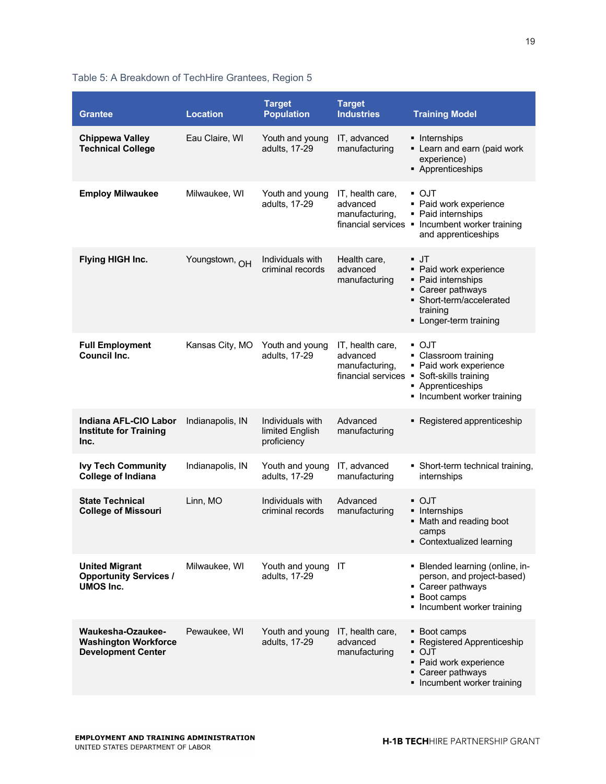## Table 5: A Breakdown of TechHire Grantees, Region 5

| <b>Grantee</b>                                                                       | <b>Location</b>  | <b>Target</b><br><b>Population</b>                 | <b>Target</b><br><b>Industries</b>                                   | <b>Training Model</b>                                                                                                                                        |
|--------------------------------------------------------------------------------------|------------------|----------------------------------------------------|----------------------------------------------------------------------|--------------------------------------------------------------------------------------------------------------------------------------------------------------|
| <b>Chippewa Valley</b><br><b>Technical College</b>                                   | Eau Claire, WI   | Youth and young<br>adults, 17-29                   | IT, advanced<br>manufacturing                                        | • Internships<br>• Learn and earn (paid work<br>experience)<br>• Apprenticeships                                                                             |
| <b>Employ Milwaukee</b>                                                              | Milwaukee, WI    | Youth and young<br>adults, 17-29                   | IT, health care,<br>advanced<br>manufacturing,<br>financial services | $\bullet$ O.JT<br>• Paid work experience<br>• Paid internships<br>• Incumbent worker training<br>and apprenticeships                                         |
| Flying HIGH Inc.                                                                     | Youngstown, OH   | Individuals with<br>criminal records               | Health care,<br>advanced<br>manufacturing                            | ▪ JT<br>• Paid work experience<br>• Paid internships<br>• Career pathways<br>• Short-term/accelerated<br>training<br>• Longer-term training                  |
| <b>Full Employment</b><br><b>Council Inc.</b>                                        | Kansas City, MO  | Youth and young<br>adults, 17-29                   | IT, health care,<br>advanced<br>manufacturing,<br>financial services | $\overline{\phantom{a}}$ OJT<br>• Classroom training<br>• Paid work experience<br>• Soft-skills training<br>• Apprenticeships<br>• Incumbent worker training |
| Indiana AFL-CIO Labor<br><b>Institute for Training</b><br>Inc.                       | Indianapolis, IN | Individuals with<br>limited English<br>proficiency | Advanced<br>manufacturing                                            | • Registered apprenticeship                                                                                                                                  |
| <b>Ivy Tech Community</b><br><b>College of Indiana</b>                               | Indianapolis, IN | Youth and young<br>adults, 17-29                   | IT, advanced<br>manufacturing                                        | • Short-term technical training,<br>internships                                                                                                              |
| <b>State Technical</b><br><b>College of Missouri</b>                                 | Linn, MO         | Individuals with<br>criminal records               | Advanced<br>manufacturing                                            | • OJT<br>• Internships<br>• Math and reading boot<br>camps<br>• Contextualized learning                                                                      |
| <b>United Migrant</b><br><b>Opportunity Services /</b><br><b>UMOS Inc.</b>           | Milwaukee, WI    | Youth and young<br>adults, 17-29                   | IT                                                                   | • Blended learning (online, in-<br>person, and project-based)<br>• Career pathways<br>• Boot camps<br>• Incumbent worker training                            |
| <b>Waukesha-Ozaukee-</b><br><b>Washington Workforce</b><br><b>Development Center</b> | Pewaukee, WI     | Youth and young<br>adults, 17-29                   | IT, health care,<br>advanced<br>manufacturing                        | • Boot camps<br>• Registered Apprenticeship<br>$\overline{\phantom{a}}$ OJT<br>• Paid work experience<br>• Career pathways<br>• Incumbent worker training    |